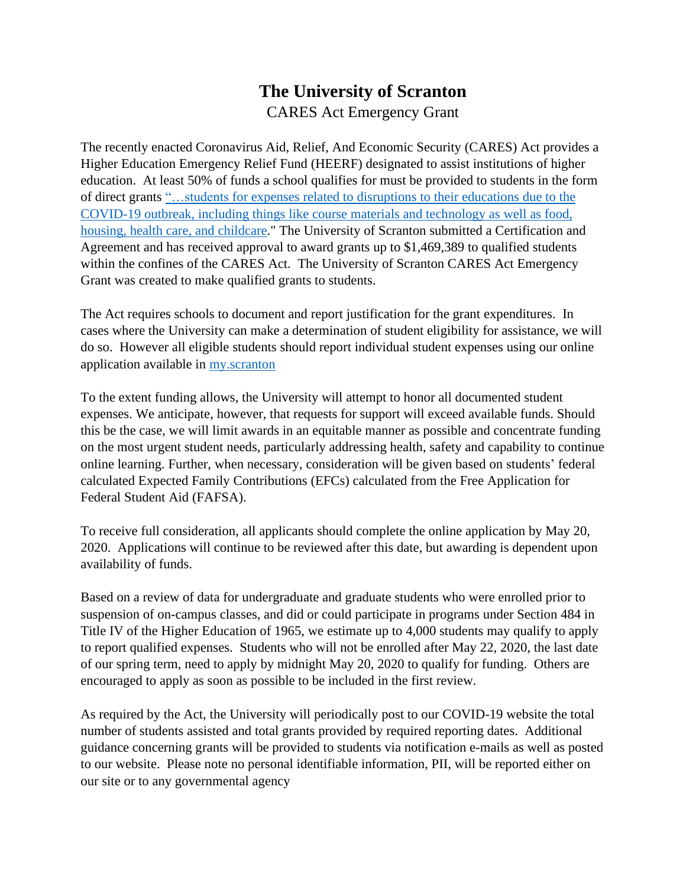## **The University of Scranton** CARES Act Emergency Grant

The recently enacted Coronavirus Aid, Relief, And Economic Security (CARES) Act provides a Higher Education Emergency Relief Fund (HEERF) designated to assist institutions of higher education. At least 50% of funds a school qualifies for must be provided to students in the form of direct grants ["…students](https://www.ed.gov/news/press-releases/secretary-devos-rapidly-delivers-more-6-billion-emergency-cash-grants-college-students-impacted-coronavirus-outbreak) for expenses related to disruptions to their educations due to the [COVID-19](https://www.ed.gov/news/press-releases/secretary-devos-rapidly-delivers-more-6-billion-emergency-cash-grants-college-students-impacted-coronavirus-outbreak) outbreak, including things like course materials and technology as well as food, housing, health care, and [childcare.](https://www.ed.gov/news/press-releases/secretary-devos-rapidly-delivers-more-6-billion-emergency-cash-grants-college-students-impacted-coronavirus-outbreak)" The University of Scranton submitted a Certification and Agreement and has received approval to award grants up to \$1,469,389 to qualified students within the confines of the CARES Act. The University of Scranton CARES Act Emergency Grant was created to make qualified grants to students.

The Act requires schools to document and report justification for the grant expenditures. In cases where the University can make a determination of student eligibility for assistance, we will do so. However all eligible students should report individual student expenses using our online application available in [my.scranton](http://my.scranton.edu/cp/home/loginf)

To the extent funding allows, the University will attempt to honor all documented student expenses. We anticipate, however, that requests for support will exceed available funds. Should this be the case, we will limit awards in an equitable manner as possible and concentrate funding on the most urgent student needs, particularly addressing health, safety and capability to continue online learning. Further, when necessary, consideration will be given based on students' federal calculated Expected Family Contributions (EFCs) calculated from the Free Application for Federal Student Aid (FAFSA).

To receive full consideration, all applicants should complete the online application by May 20, 2020. Applications will continue to be reviewed after this date, but awarding is dependent upon availability of funds.

Based on a review of data for undergraduate and graduate students who were enrolled prior to suspension of on-campus classes, and did or could participate in programs under Section 484 in Title IV of the Higher Education of 1965, we estimate up to 4,000 students may qualify to apply to report qualified expenses. Students who will not be enrolled after May 22, 2020, the last date of our spring term, need to apply by midnight May 20, 2020 to qualify for funding. Others are encouraged to apply as soon as possible to be included in the first review.

As required by the Act, the University will periodically post to our COVID-19 website the total number of students assisted and total grants provided by required reporting dates. Additional guidance concerning grants will be provided to students via notification e-mails as well as posted to our website. Please note no personal identifiable information, PII, will be reported either on our site or to any governmental agency